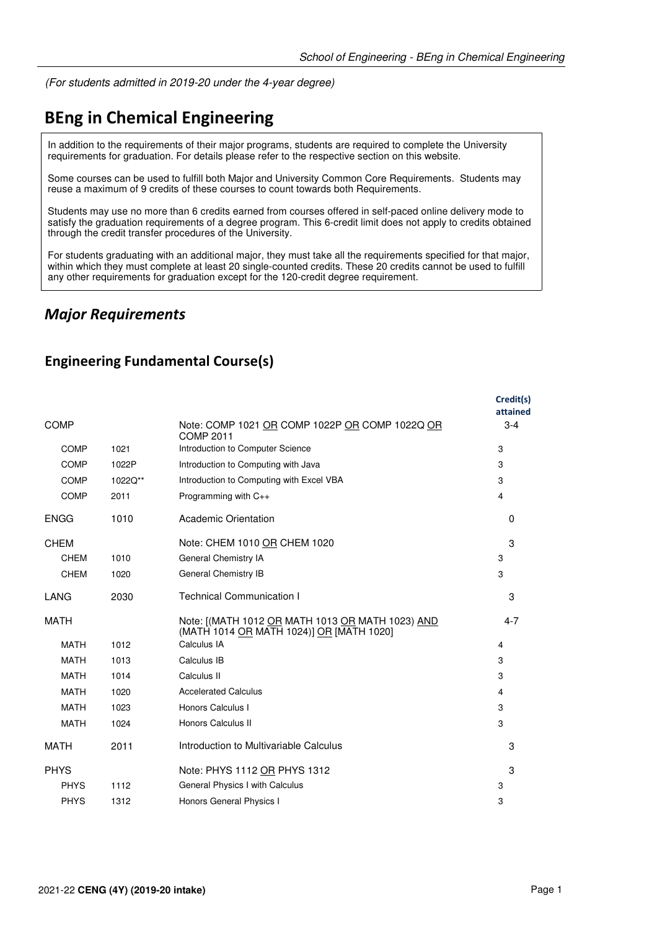(For students admitted in 2019-20 under the 4-year degree)

# **BEng in Chemical Engineering**

In addition to the requirements of their major programs, students are required to complete the University requirements for graduation. For details please refer to the respective section on this website.

Some courses can be used to fulfill both Major and University Common Core Requirements. Students may reuse a maximum of 9 credits of these courses to count towards both Requirements.

Students may use no more than 6 credits earned from courses offered in self-paced online delivery mode to satisfy the graduation requirements of a degree program. This 6-credit limit does not apply to credits obtained through the credit transfer procedures of the University.

For students graduating with an additional major, they must take all the requirements specified for that major, within which they must complete at least 20 single-counted credits. These 20 credits cannot be used to fulfill any other requirements for graduation except for the 120-credit degree requirement.

### *Major Requirements*

#### **Engineering Fundamental Course(s)**

|             |         |                                                                                              | Credit(s)<br>attained |
|-------------|---------|----------------------------------------------------------------------------------------------|-----------------------|
| <b>COMP</b> |         | Note: COMP 1021 OR COMP 1022P OR COMP 1022Q OR<br><b>COMP 2011</b>                           | $3 - 4$               |
| <b>COMP</b> | 1021    | Introduction to Computer Science                                                             | 3                     |
| COMP        | 1022P   | Introduction to Computing with Java                                                          | 3                     |
| <b>COMP</b> | 1022Q** | Introduction to Computing with Excel VBA                                                     | 3                     |
| <b>COMP</b> | 2011    | Programming with $C_{++}$                                                                    | 4                     |
| <b>ENGG</b> | 1010    | <b>Academic Orientation</b>                                                                  | $\Omega$              |
| <b>CHEM</b> |         | Note: CHEM 1010 OR CHEM 1020                                                                 | 3                     |
| <b>CHEM</b> | 1010    | General Chemistry IA                                                                         | 3                     |
| <b>CHEM</b> | 1020    | General Chemistry IB                                                                         | 3                     |
| LANG        | 2030    | <b>Technical Communication I</b>                                                             | 3                     |
| <b>MATH</b> |         | Note: [(MATH 1012 OR MATH 1013 OR MATH 1023) AND<br>(MATH 1014 OR MATH 1024)] OR [MATH 1020] | $4 - 7$               |
| <b>MATH</b> | 1012    | Calculus IA                                                                                  | 4                     |
| <b>MATH</b> | 1013    | Calculus IB                                                                                  | 3                     |
| <b>MATH</b> | 1014    | Calculus II                                                                                  | 3                     |
| <b>MATH</b> | 1020    | <b>Accelerated Calculus</b>                                                                  | 4                     |
| <b>MATH</b> | 1023    | Honors Calculus I                                                                            | 3                     |
| <b>MATH</b> | 1024    | Honors Calculus II                                                                           | 3                     |
| <b>MATH</b> | 2011    | Introduction to Multivariable Calculus                                                       | 3                     |
| <b>PHYS</b> |         | Note: PHYS 1112 OR PHYS 1312                                                                 | 3                     |
| <b>PHYS</b> | 1112    | General Physics I with Calculus                                                              | 3                     |
| <b>PHYS</b> | 1312    | Honors General Physics I                                                                     | 3                     |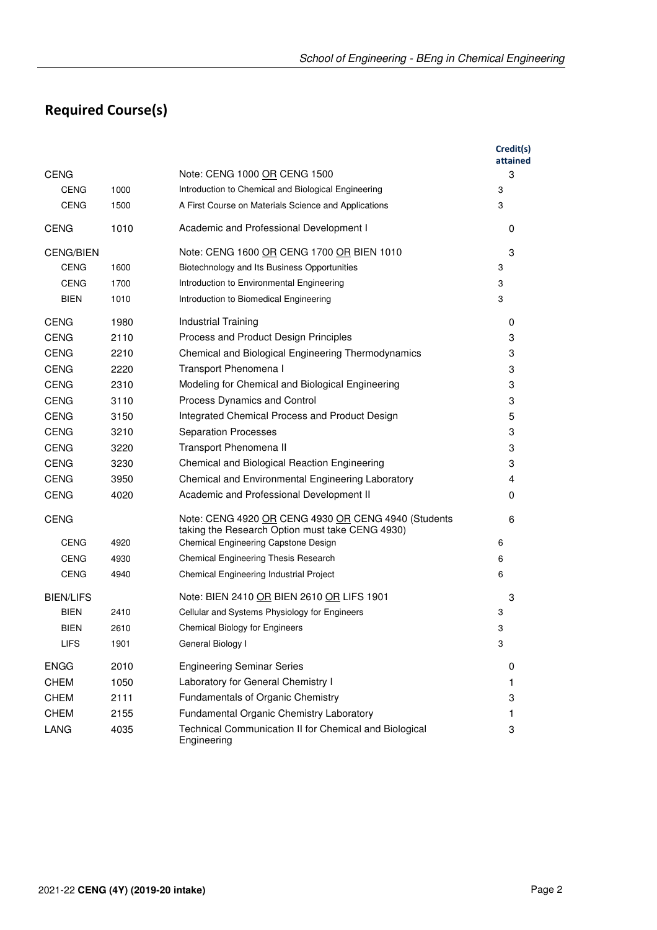## **Required Course(s)**

|                  |      |                                                                                                        | Credit(s)<br>attained |
|------------------|------|--------------------------------------------------------------------------------------------------------|-----------------------|
| <b>CENG</b>      |      | Note: CENG 1000 OR CENG 1500                                                                           | 3                     |
| <b>CENG</b>      | 1000 | Introduction to Chemical and Biological Engineering                                                    | 3                     |
| CENG             | 1500 | A First Course on Materials Science and Applications                                                   | 3                     |
| <b>CENG</b>      | 1010 | Academic and Professional Development I                                                                | 0                     |
| <b>CENG/BIEN</b> |      | Note: CENG 1600 OR CENG 1700 OR BIEN 1010                                                              | 3                     |
| <b>CENG</b>      | 1600 | Biotechnology and Its Business Opportunities                                                           | 3                     |
| <b>CENG</b>      | 1700 | Introduction to Environmental Engineering                                                              | 3                     |
| <b>BIEN</b>      | 1010 | Introduction to Biomedical Engineering                                                                 | 3                     |
| <b>CENG</b>      | 1980 | Industrial Training                                                                                    | 0                     |
| <b>CENG</b>      | 2110 | Process and Product Design Principles                                                                  | 3                     |
| <b>CENG</b>      | 2210 | Chemical and Biological Engineering Thermodynamics                                                     | 3                     |
| <b>CENG</b>      | 2220 | Transport Phenomena I                                                                                  | 3                     |
| <b>CENG</b>      | 2310 | Modeling for Chemical and Biological Engineering                                                       | 3                     |
| <b>CENG</b>      | 3110 | Process Dynamics and Control                                                                           | 3                     |
| <b>CENG</b>      | 3150 | Integrated Chemical Process and Product Design                                                         | 5                     |
| <b>CENG</b>      | 3210 | <b>Separation Processes</b>                                                                            | 3                     |
| <b>CENG</b>      | 3220 | Transport Phenomena II                                                                                 | 3                     |
| <b>CENG</b>      | 3230 | Chemical and Biological Reaction Engineering                                                           | 3                     |
| <b>CENG</b>      | 3950 | Chemical and Environmental Engineering Laboratory                                                      | 4                     |
| <b>CENG</b>      | 4020 | Academic and Professional Development II                                                               | 0                     |
| <b>CENG</b>      |      | Note: CENG 4920 OR CENG 4930 OR CENG 4940 (Students<br>taking the Research Option must take CENG 4930) | 6                     |
| <b>CENG</b>      | 4920 | Chemical Engineering Capstone Design                                                                   | 6                     |
| <b>CENG</b>      | 4930 | Chemical Engineering Thesis Research                                                                   | 6                     |
| <b>CENG</b>      | 4940 | Chemical Engineering Industrial Project                                                                | 6                     |
| <b>BIEN/LIFS</b> |      | Note: BIEN 2410 OR BIEN 2610 OR LIFS 1901                                                              | 3                     |
| BIEN             | 2410 | Cellular and Systems Physiology for Engineers                                                          | 3                     |
| BIEN             | 2610 | <b>Chemical Biology for Engineers</b>                                                                  | 3                     |
| LIFS             | 1901 | General Biology I                                                                                      | 3                     |
| <b>ENGG</b>      | 2010 | <b>Engineering Seminar Series</b>                                                                      | 0                     |
| <b>CHEM</b>      | 1050 | Laboratory for General Chemistry I                                                                     | $\mathbf{1}$          |
| <b>CHEM</b>      | 2111 | Fundamentals of Organic Chemistry                                                                      | 3                     |
| <b>CHEM</b>      | 2155 | Fundamental Organic Chemistry Laboratory                                                               | 1                     |
| <b>LANG</b>      | 4035 | Technical Communication II for Chemical and Biological<br>Engineering                                  | 3                     |